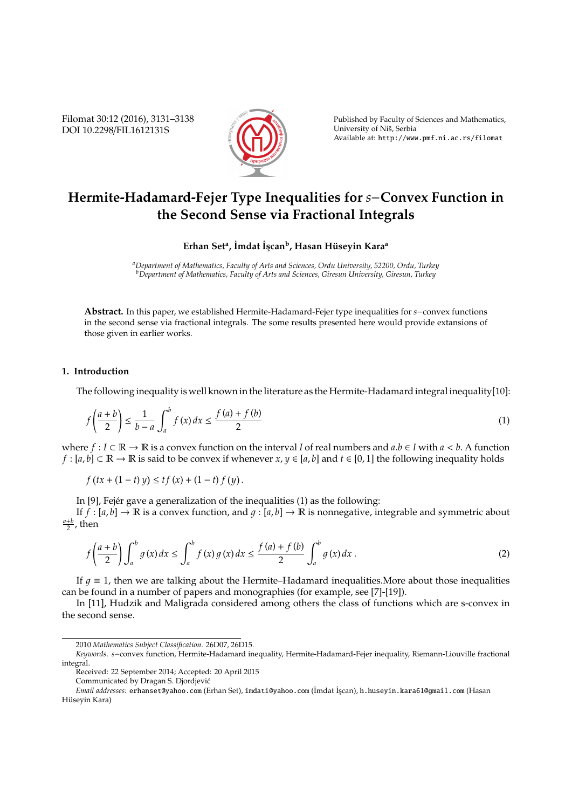Filomat 30:12 (2016), 3131–3138 DOI 10.2298/FIL1612131S



Published by Faculty of Sciences and Mathematics, University of Niš, Serbia Available at: http://www.pmf.ni.ac.rs/filomat

## **Hermite-Hadamard-Fejer Type Inequalities for** *s*−**Convex Function in the Second Sense via Fractional Integrals**

**Erhan Set<sup>a</sup> , ˙Imdat ˙Is¸can<sup>b</sup> , Hasan H ¨useyin Kara<sup>a</sup>**

*<sup>a</sup>Department of Mathematics, Faculty of Arts and Sciences, Ordu University, 52200, Ordu, Turkey <sup>b</sup>Department of Mathematics, Faculty of Arts and Sciences, Giresun University, Giresun, Turkey*

**Abstract.** In this paper, we established Hermite-Hadamard-Fejer type inequalities for *s*−convex functions in the second sense via fractional integrals. The some results presented here would provide extansions of those given in earlier works.

## **1. Introduction**

The following inequality is well known in the literature as the Hermite-Hadamard integral inequality[10]:

$$
f\left(\frac{a+b}{2}\right) \le \frac{1}{b-a} \int_a^b f(x) \, dx \le \frac{f(a)+f(b)}{2} \tag{1}
$$

where *f* : *I* ⊂  $\mathbb{R}$  →  $\mathbb{R}$  is a convex function on the interval *I* of real numbers and *a*.*b* ∈ *I* with *a* < *b*. A function *f* :  $[a, b]$  ⊂ R → R is said to be convex if whenever  $x, y \in [a, b]$  and  $t \in [0, 1]$  the following inequality holds

 $f(tx+(1-t)y) \le tf(x) + (1-t)f(y)$ .

In  $[9]$ , Fejér gave a generalization of the inequalities  $(1)$  as the following:

If  $f : [a, b] \to \mathbb{R}$  is a convex function, and  $g : [a, b] \to \mathbb{R}$  is nonnegative, integrable and symmetric about  $\frac{a+b}{2}$ , then

$$
f\left(\frac{a+b}{2}\right)\int_{a}^{b} g(x) \, dx \le \int_{a}^{b} f(x) \, g(x) \, dx \le \frac{f(a)+f(b)}{2} \int_{a}^{b} g(x) \, dx \, . \tag{2}
$$

If  $q \equiv 1$ , then we are talking about the Hermite–Hadamard inequalities. More about those inequalities can be found in a number of papers and monographies (for example, see [7]-[19]).

In [11], Hudzik and Maligrada considered among others the class of functions which are s-convex in the second sense.

<sup>2010</sup> *Mathematics Subject Classification*. 26D07, 26D15.

*Keywords*. *s*−convex function, Hermite-Hadamard inequality, Hermite-Hadamard-Fejer inequality, Riemann-Liouville fractional integral.

Received: 22 September 2014; Accepted: 20 April 2015

Communicated by Dragan S. Djordjevic´

*Email addresses:* erhanset@yahoo.com (Erhan Set), imdati@yahoo.com (İmdat İşçan), h.huseyin.kara61@gmail.com (Hasan Hüseyin Kara)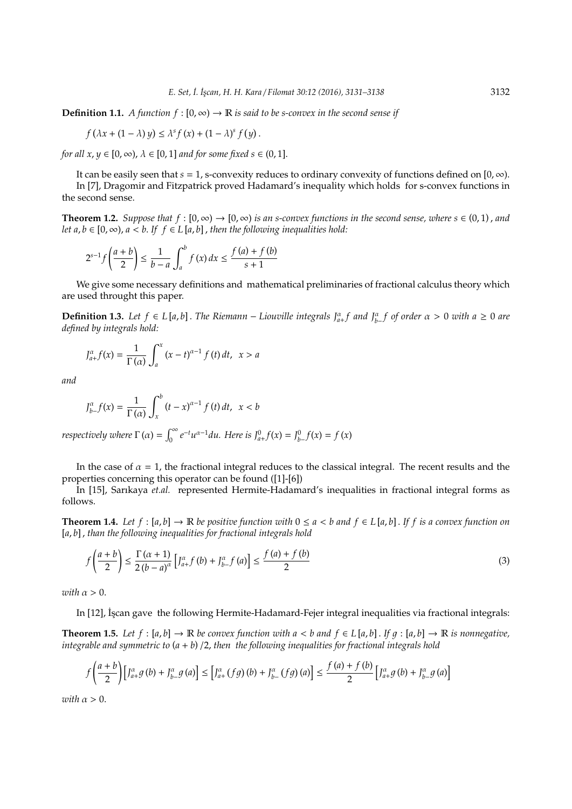**Definition 1.1.** *A function*  $f : [0, \infty) \to \mathbb{R}$  *is said to be s-convex in the second sense if* 

$$
f(\lambda x + (1 - \lambda) y) \leq \lambda^{s} f(x) + (1 - \lambda)^{s} f(y).
$$

*for all x*,  $y \in [0, \infty)$ ,  $\lambda \in [0, 1]$  *and for some fixed s*  $\in (0, 1]$ .

It can be easily seen that  $s = 1$ , s-convexity reduces to ordinary convexity of functions defined on  $[0, \infty)$ . In [7], Dragomir and Fitzpatrick proved Hadamard's inequality which holds for s-convex functions in the second sense.

**Theorem 1.2.** *Suppose that*  $f : [0, \infty) \to [0, \infty)$  *is an s-convex functions in the second sense, where*  $s \in (0, 1)$ *, and let a*,  $b \in [0, \infty)$ ,  $a < b$ . If  $f \in L[a, b]$ , then the following inequalities hold:

$$
2^{s-1} f\left(\frac{a+b}{2}\right) \le \frac{1}{b-a} \int_a^b f(x) \, dx \le \frac{f(a) + f(b)}{s+1}
$$

We give some necessary definitions and mathematical preliminaries of fractional calculus theory which are used throught this paper.

**Definition 1.3.** Let  $f \in L[a,b]$ . The Riemann − Liouville integrals  $J^{\alpha}_{a+}f$  and  $J^{\alpha}_{b-}f$  of order  $\alpha > 0$  with  $a \ge 0$  are *defined by integrals hold:*

$$
J_{a+}^{\alpha}f(x) = \frac{1}{\Gamma(\alpha)} \int_{a}^{x} (x-t)^{\alpha-1} f(t) dt, \quad x > a
$$

*and*

$$
J_{b-}^{\alpha}f(x) = \frac{1}{\Gamma(\alpha)} \int_{x}^{b} (t-x)^{\alpha-1} f(t) dt, \ \ x < b
$$

*respectively where*  $\Gamma(\alpha) = \int_0^\infty e^{-t} u^{\alpha-1} du$ . Here is  $J^0_{a+} f(x) = J^0_{b-} f(x) = f(x)$ 

In the case of  $\alpha = 1$ , the fractional integral reduces to the classical integral. The recent results and the properties concerning this operator can be found ([1]-[6])

In [15], Sarıkaya *et.al.* represented Hermite-Hadamard's inequalities in fractional integral forms as follows.

**Theorem 1.4.** Let  $f : [a, b] \to \mathbb{R}$  be positive function with  $0 \le a < b$  and  $f \in L[a, b]$ . If f is a convex function on [*a*, *b*] , *than the following inequalities for fractional integrals hold*

$$
f\left(\frac{a+b}{2}\right) \le \frac{\Gamma(\alpha+1)}{2(b-a)^{\alpha}} \left[ J_{a+}^{\alpha} f\left(b\right) + J_{b-}^{\alpha} f\left(a\right) \right] \le \frac{f\left(a\right) + f\left(b\right)}{2} \tag{3}
$$

*with*  $\alpha > 0$ .

In [12], İşcan gave the following Hermite-Hadamard-Fejer integral inequalities via fractional integrals:

**Theorem 1.5.** *Let*  $f : [a, b] \to \mathbb{R}$  *be convex function with*  $a < b$  *and*  $f \in L[a, b]$ . If  $g : [a, b] \to \mathbb{R}$  *is nonnegative*, *integrable and symmetric to* (*a* + *b*) /2, *then the following inequalities for fractional integrals hold*

$$
f\left(\frac{a+b}{2}\right)\left[\int_{a+}^{\alpha} g\left(b\right) + \int_{b-}^{\alpha} g\left(a\right)\right] \le \left[\int_{a+}^{\alpha} \left(fg\right)\left(b\right) + \int_{b-}^{\alpha} \left(fg\right)\left(a\right)\right] \le \frac{f\left(a\right) + f\left(b\right)}{2}\left[\int_{a+}^{\alpha} g\left(b\right) + \int_{b-}^{\alpha} g\left(a\right)\right]
$$

*with*  $\alpha > 0$ .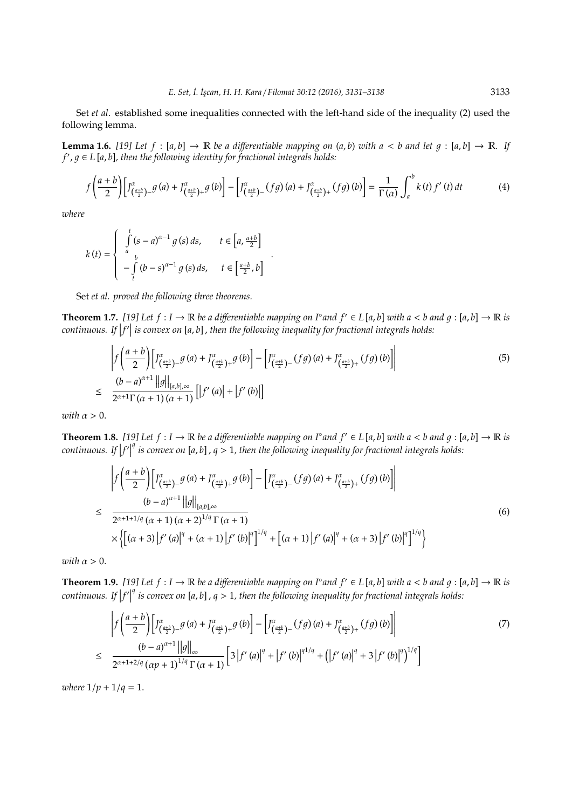Set *et al*. established some inequalities connected with the left-hand side of the inequality (2) used the following lemma.

**Lemma 1.6.** [19] Let  $f : [a, b] \to \mathbb{R}$  be a differentiable mapping on  $(a, b)$  with  $a < b$  and let  $g : [a, b] \to \mathbb{R}$ . If *f* 0 , 1 ∈ *L* [*a*, *b*]*, then the following identity for fractional integrals holds:*

$$
f\left(\frac{a+b}{2}\right)\left[J_{\left(\frac{a+b}{2}\right)-}^{\alpha}g\left(a\right)+J_{\left(\frac{a+b}{2}\right)+}^{\alpha}g\left(b\right)\right]-\left[J_{\left(\frac{a+b}{2}\right)-}^{\alpha}\left(fg\right)\left(a\right)+J_{\left(\frac{a+b}{2}\right)+}^{\alpha}\left(fg\right)\left(b\right)\right]=\frac{1}{\Gamma\left(\alpha\right)}\int_{a}^{b}k\left(t\right)f'\left(t\right)dt\tag{4}
$$

*where*

$$
k(t) = \begin{cases} \int_{a}^{t} (s-a)^{\alpha-1} g(s) ds, & t \in \left[a, \frac{a+b}{2}\right] \\ -\int_{t}^{b} (b-s)^{\alpha-1} g(s) ds, & t \in \left[\frac{a+b}{2}, b\right] \end{cases}.
$$

Set *et al. proved the following three theorems.*

**Theorem 1.7.** [19] Let  $f: I \to \mathbb{R}$  be a differentiable mapping on I° and  $f' \in L[a, b]$  with a < b and  $g: [a, b] \to \mathbb{R}$  is  $\mathit{continuous}.$  If  $|f'|$  is convex on [a, b] , then the following inequality for fractional integrals holds:

$$
\left| f\left(\frac{a+b}{2}\right) \left[ J^{\alpha}_{\left(\frac{a+b}{2}\right)-}g\left(a\right) + J^{\alpha}_{\left(\frac{a+b}{2}\right)+}g\left(b\right) \right] - \left[ J^{\alpha}_{\left(\frac{a+b}{2}\right)-}\left(fg\right)\left(a\right) + J^{\alpha}_{\left(\frac{a+b}{2}\right)+}\left(fg\right)\left(b\right) \right] \right|
$$
\n
$$
\leq \frac{\left(b-a\right)^{\alpha+1} \left| |g| \right|_{[a,b],\infty}}{2^{\alpha+1}\Gamma(\alpha+1)(\alpha+1)} \left[ \left| f'\left(a\right) \right| + \left| f'\left(b\right) \right| \right]
$$
\n(5)

*with*  $\alpha > 0$ .

**Theorem 1.8.** [19] Let  $f: I \to \mathbb{R}$  be a differentiable mapping on I° and  $f' \in L[a, b]$  with a < b and  $g: [a, b] \to \mathbb{R}$  is  $continuous.$  If  $|f'|$ *q is convex on* [*a*, *b*] , *q* > 1*, then the following inequality for fractional integrals holds:*

$$
\left| f\left(\frac{a+b}{2}\right) \left[ J^{\alpha}_{\left(\frac{a+b}{2}\right)-} g\left(a\right) + J^{\alpha}_{\left(\frac{a+b}{2}\right)+} g\left(b\right) \right] - \left[ J^{\alpha}_{\left(\frac{a+b}{2}\right)-} \left( fg\right) \left(a\right) + J^{\alpha}_{\left(\frac{a+b}{2}\right)+} \left( fg\right) \left(b\right) \right] \right|
$$
\n
$$
\leq \frac{(b-a)^{\alpha+1} ||g||_{[a,b],\infty}}{2^{\alpha+1+1/q} (\alpha+1) (\alpha+2)^{1/q} \Gamma(\alpha+1)} \times \left\{ \left[ (\alpha+3) \left| f'\left(a\right) \right|^{q} + (\alpha+1) \left| f'\left(b\right) \right|^{q} \right]^{1/q} + \left[ (\alpha+1) \left| f'\left(a\right) \right|^{q} + (\alpha+3) \left| f'\left(b\right) \right|^{q} \right]^{1/q} \right\} \tag{6}
$$

*with*  $\alpha > 0$ .

**Theorem 1.9.** [19] Let  $f: I \to \mathbb{R}$  be a differentiable mapping on I° and  $f' \in L[a, b]$  with a < b and  $g: [a, b] \to \mathbb{R}$  is  $continuous.$  If  $|f'|$ *q is convex on* [*a*, *b*] , *q* > 1*, then the following inequality for fractional integrals holds:*

$$
\left| f\left(\frac{a+b}{2}\right) \left[ J^{\alpha}_{\left(\frac{a+b}{2}\right)-} g\left(a\right) + J^{\alpha}_{\left(\frac{a+b}{2}\right)+} g\left(b\right) \right] - \left[ J^{\alpha}_{\left(\frac{a+b}{2}\right)-} \left( fg\right) \left(a\right) + J^{\alpha}_{\left(\frac{a+b}{2}\right)+} \left( fg\right) \left(b\right) \right] \right|
$$
\n
$$
\leq \frac{\left(b-a\right)^{\alpha+1} \left| |g| \right|_{\infty}}{2^{\alpha+1+2/q} \left(\alpha p + 1\right)^{1/q} \Gamma\left(\alpha + 1\right)} \left[ 3 \left| f'\left(a\right) \right|^{q} + \left| f'\left(b\right) \right|^{q1/q} + \left( \left| f'\left(a\right) \right|^{q} + 3 \left| f'\left(b\right) \right|^{q}\right)^{1/q} \right] \right|
$$
\n(7)

*where*  $1/p + 1/q = 1$ .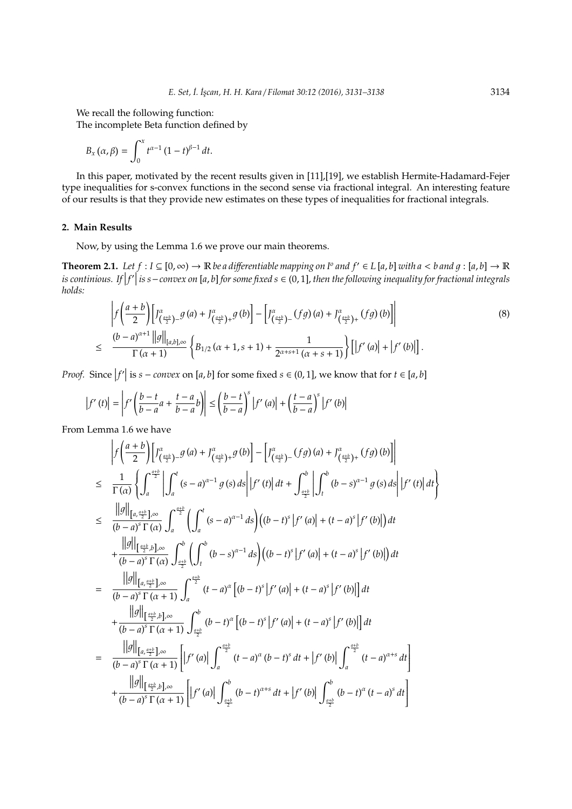We recall the following function:

The incomplete Beta function defined by

$$
B_x(\alpha,\beta)=\int_0^x t^{\alpha-1}(1-t)^{\beta-1}\,dt.
$$

In this paper, motivated by the recent results given in [11],[19], we establish Hermite-Hadamard-Fejer type inequalities for s-convex functions in the second sense via fractional integral. An interesting feature of our results is that they provide new estimates on these types of inequalities for fractional integrals.

## **2. Main Results**

Now, by using the Lemma 1.6 we prove our main theorems.

**Theorem 2.1.** Let  $f: I \subseteq [0, \infty) \to \mathbb{R}$  be a differentiable mapping on  $I^o$  and  $f' \in L[a, b]$  with a < b and  $g: [a, b] \to \mathbb{R}$ *is continious. If*  $|f'|\$  *is s*−convex on [a, b] for some fixed s ∈ (0, 1], then the following inequality for fractional integrals<br>koldo: *holds:*

$$
\left| f\left(\frac{a+b}{2}\right) \left[ J^{\alpha}_{\left(\frac{a+b}{2}\right)-} g\left(a\right) + J^{\alpha}_{\left(\frac{a+b}{2}\right)+} g\left(b\right) \right] - \left[ J^{\alpha}_{\left(\frac{a+b}{2}\right)-} (fg)\left(a\right) + J^{\alpha}_{\left(\frac{a+b}{2}\right)+} (fg)\left(b\right) \right] \right|
$$
\n
$$
\leq \frac{\left(b-a\right)^{\alpha+1} \left| |g| \right|_{[a,b],\infty}}{\Gamma\left(\alpha+1\right)} \left\{ B_{1/2} \left(\alpha+1,s+1\right) + \frac{1}{2^{\alpha+s+1} \left(\alpha+s+1\right)} \right\} \left[ \left| f'\left(a\right) \right| + \left| f'\left(b\right) \right| \right]. \tag{8}
$$

*Proof.* Since  $|f'|$  is *s* − *convex* on [*a*, *b*] for some fixed *s* ∈ (0, 1], we know that for *t* ∈ [*a*, *b*]

$$
\left|f'(t)\right| = \left|f'\left(\frac{b-t}{b-a}a + \frac{t-a}{b-a}b\right)\right| \le \left(\frac{b-t}{b-a}\right)^s \left|f'(a)\right| + \left(\frac{t-a}{b-a}\right)^s \left|f'(b)\right|
$$

From Lemma 1.6 we have

$$
\int f\left(\frac{a+b}{2}\right) \left[ J^{a}_{\left(\frac{a+b}{2}\right)-} g\left(a\right) + J^{a}_{\left(\frac{a+b}{2}\right)+} g\left(b\right) \right] - \left[ J^{a}_{\left(\frac{a+b}{2}\right)-} \left(fg\right)\left(a\right) + J^{a}_{\left(\frac{a+b}{2}\right)+} \left(fg\right)\left(b\right) \right] \right|
$$
\n
$$
\leq \frac{1}{\Gamma(\alpha)} \left\{ \int_{a}^{\frac{a+b}{2}} \left| \int_{a}^{t} (s-a)^{\alpha-1} g\left(s\right) ds \right| |f'\left(t\right) | dt + \int_{\frac{a+b}{2}}^{b} \left| \int_{t}^{b} \left(b-s\right)^{\alpha-1} g\left(s\right) ds \right| |f'\left(t\right) | dt \right\}
$$
\n
$$
\leq \frac{\left\|g\right\|_{\left[a,\frac{a+b}{2}\right],\infty}}{(b-a)^{S} \Gamma(\alpha)} \int_{a}^{\frac{a+b}{2}} \left( \int_{a}^{t} (s-a)^{\alpha-1} ds \right) \left((b-t)^{S} |f'\left(a\right)| + (t-a)^{S} |f'\left(b\right)|\right) dt
$$
\n
$$
+ \frac{\left\|g\right\|_{\left[a,\frac{a+b}{2}\right],\infty}}{(b-a)^{S} \Gamma(\alpha)} \int_{\frac{a+b}{2}}^{b} \left( \int_{t}^{b} (b-s)^{\alpha-1} ds \right) \left((b-t)^{S} |f'\left(a\right)| + (t-a)^{S} |f'\left(b\right)|\right) dt
$$
\n
$$
= \frac{\left\|g\right\|_{\left[a,\frac{a+b}{2}\right],\infty}}{(b-a)^{S} \Gamma(\alpha+1)} \int_{a}^{a+\frac{b}{2}} (t-a)^{\alpha} \left[(b-t)^{S} |f'\left(a\right)| + (t-a)^{S} |f'\left(b\right)|\right) dt
$$
\n
$$
+ \frac{\left\|g\right\|_{\left[\frac{a+b}{2},b\right],\infty}}{(b-a)^{S} \Gamma(\alpha+1)} \int_{\frac{a+b}{2}}^{b} (b-t)^{\alpha} \left[(b-t)^{S} |f'\left(a\right)| + (t-a)^{S} |f'\left(b\right)|\right
$$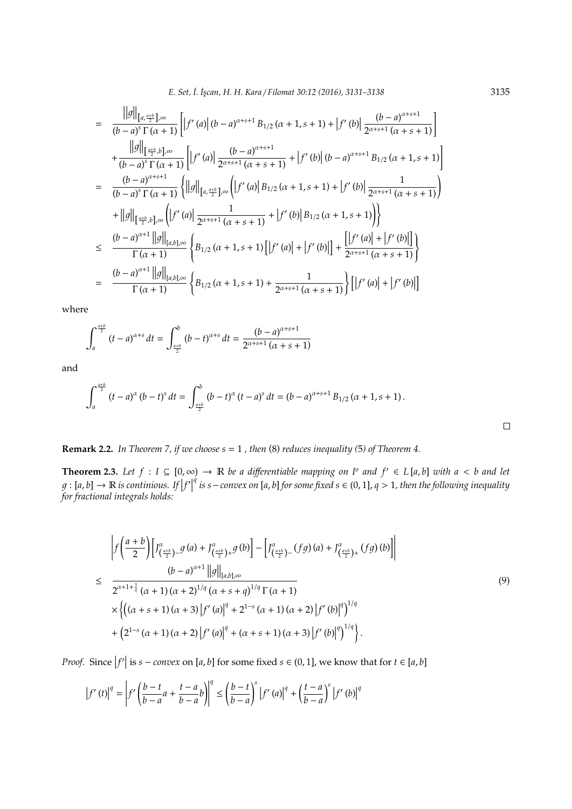*E. Set, ˙I. ˙Is¸can, H. H. Kara* / *Filomat 30:12 (2016), 3131–3138* 3135

$$
= \frac{||g||_{[a,\frac{a+b}{2}],\infty}}{(b-a)^{s} \Gamma(\alpha+1)} \Big[ |f'(a)| (b-a)^{\alpha+s+1} B_{1/2} (\alpha+1,s+1) + |f'(b)| \frac{(b-a)^{\alpha+s+1}}{2^{\alpha+s+1} (\alpha+s+1)} \Big] + \frac{||g||_{[\frac{a+b}{2},b],\infty}}{(b-a)^{s} \Gamma(\alpha+1)} \Big[ |f'(a)| \frac{(b-a)^{\alpha+s+1}}{2^{\alpha+s+1} (\alpha+s+1)} + |f'(b)| (b-a)^{\alpha+s+1} B_{1/2} (\alpha+1,s+1) \Big] = \frac{(b-a)^{\alpha+s+1}}{(b-a)^{s} \Gamma(\alpha+1)} \Big\{ ||g||_{[a,\frac{a+b}{2}],\infty} \Big( |f'(a)| B_{1/2} (\alpha+1,s+1) + |f'(b)| \frac{1}{2^{\alpha+s+1} (\alpha+s+1)} \Big) + ||g||_{[\frac{a+b}{2},b],\infty} \Big( |f'(a)| \frac{1}{2^{\alpha+s+1} (\alpha+s+1)} + |f'(b)| B_{1/2} (\alpha+1,s+1) \Big) \Big\} \leq \frac{(b-a)^{\alpha+1} ||g||_{[a,b],\infty}}{\Gamma(\alpha+1)} \Big\{ B_{1/2} (\alpha+1,s+1) \Big[ |f'(a)| + |f'(b)| \Big] + \frac{[|f'(a)| + |f'(b)|]}{2^{\alpha+s+1} (\alpha+s+1)} \Big\} = \frac{(b-a)^{\alpha+1} ||g||_{[a,b],\infty}}{\Gamma(\alpha+1)} \Big\{ B_{1/2} (\alpha+1,s+1) + \frac{1}{2^{\alpha+s+1} (\alpha+s+1)} \Big\} \Big[ |f'(a)| + |f'(b)| \Big]
$$

where

$$
\int_{a}^{\frac{a+b}{2}} (t-a)^{\alpha+s} dt = \int_{\frac{a+b}{2}}^{b} (b-t)^{\alpha+s} dt = \frac{(b-a)^{\alpha+s+1}}{2^{\alpha+s+1} (\alpha+s+1)}
$$

and

$$
\int_{a}^{\frac{a+b}{2}} (t-a)^{\alpha} (b-t)^{s} dt = \int_{\frac{a+b}{2}}^{b} (b-t)^{\alpha} (t-a)^{s} dt = (b-a)^{\alpha+s+1} B_{1/2} (\alpha+1, s+1).
$$

**Remark 2.2.** *In Theorem 7, if we choose s* = 1 *, then* (8) *reduces inequality (*5*) of Theorem 4.*

**Theorem 2.3.** Let  $f$  :  $I \subseteq [0, \infty)$  → R *be a differentiable mapping on*  $I^o$  *and*  $f' \in L[a, b]$  *with a* < *b and let*  $g:[a,b]\to\mathbb{R}$  is continious. If  $|f'|$ *q is s*−*convex on* [*a*, *b*] *for some fixed s* ∈ (0, 1], *q* > 1*, then the following inequality for fractional integrals holds:*

$$
\left| f \left( \frac{a+b}{2} \right) \left[ J^{\alpha}_{\left( \frac{a+b}{2} \right) -} g \left( a \right) + J^{\alpha}_{\left( \frac{a+b}{2} \right) +} g \left( b \right) \right] - \left[ J^{\alpha}_{\left( \frac{a+b}{2} \right) -} (fg) \left( a \right) + J^{\alpha}_{\left( \frac{a+b}{2} \right) +} (fg) \left( b \right) \right] \right|
$$
\n
$$
\leq \quad \frac{(b-a)^{\alpha+1} \left| |g| \right|_{[a,b],\infty}}{2^{\alpha+1+\frac{1}{q}} (\alpha+1) (\alpha+2)^{1/q} (\alpha+s+q)^{1/q} \Gamma (\alpha+1)}
$$
\n
$$
\times \left\{ \left( (\alpha+s+1) (\alpha+3) \left| f' \left( a \right) \right|^q + 2^{1-s} (\alpha+1) (\alpha+2) \left| f' \left( b \right) \right|^q \right)^{1/q} + \left( 2^{1-s} (\alpha+1) (\alpha+2) \left| f' \left( a \right) \right|^q + (\alpha+s+1) (\alpha+3) \left| f' \left( b \right) \right|^q \right)^{1/q} \right\}.
$$
\n(9)

*Proof.* Since  $|f'|$  is *s* − *convex* on [*a*, *b*] for some fixed *s* ∈ (0, 1], we know that for *t* ∈ [*a*, *b*]

$$
\left|f'(t)\right|^q = \left|f'\left(\frac{b-t}{b-a}a + \frac{t-a}{b-a}b\right)\right|^q \le \left(\frac{b-t}{b-a}\right)^s \left|f'(a)\right|^q + \left(\frac{t-a}{b-a}\right)^s \left|f'(b)\right|^q
$$

 $\Box$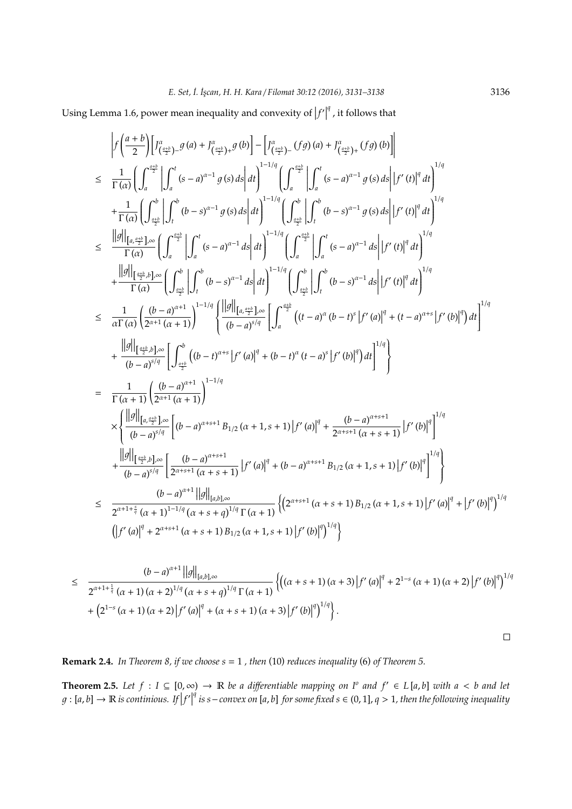Using Lemma 1.6, power mean inequality and convexity of  $|f'|$ <sup>q</sup>, it follows that

$$
\int f\left(\frac{a+b}{2}\right) \left[f_{\left(\frac{a+1}{2}\right)-}^{a} g\left(a\right) + f_{\left(\frac{a+1}{2}\right)-}^{a} g\left(b\right) \right] - \left[f_{\left(\frac{a+1}{2}\right)-}^{a} (f g)\left(a\right) + f_{\left(\frac{a+1}{2}\right)+}^{a} (f g)\left(b\right) \right] \right] \n
$$
\leq \frac{1}{\Gamma(\alpha)} \left(\int_{a}^{e_{\frac{1}{2}}^{b}} \left| \int_{a}^{t} (s-a)^{\alpha-1} g\left(s\right) ds \right| dt \right)^{1-1/q} \left(\int_{a}^{e_{\frac{1}{2}}^{b}} \left| \int_{a}^{t} (s-a)^{\alpha-1} g\left(s\right) ds \right| t f'(t) |^{q} dt \right)^{1/q} \n+ \frac{1}{\Gamma(\alpha)} \left(\int_{e_{\frac{1}{2}}^{b}}^{b} \left| \int_{a}^{t} (b-s)^{\alpha-1} g\left(s\right) ds \right| dt \right)^{1-1/q} \left(\int_{e_{\frac{1}{2}}^{b}}^{e} \left| \int_{a}^{t} (b-s)^{\alpha-1} g\left(s\right) ds \right| t f'(t) |^{q} dt \right)^{1/q} \n= \frac{\left\|g\right\|_{\left[\frac{a}{2}^{b} b\right]-\infty}}{\Gamma(\alpha)} \left(\int_{a}^{e_{\frac{1}{2}}^{b}} \left| \int_{a}^{t} (s-a)^{\alpha-1} ds \right| dt \right)^{1-1/q} \left(\int_{a}^{e_{\frac{1}{2}}^{b}} \left| \int_{a}^{t} (s-a)^{\alpha-1} ds \right| t f'(t) |^{q} dt \right)^{1/q} \n+ \frac{\left\|g\right\|_{\left[\frac{a+1}{2} b\right]-\infty}}{\Gamma(\alpha)} \left(\int_{\frac{a+1}{2}^{b}}^{b} \left| \int_{t}^{b} (b-s)^{\alpha-1} ds \right| dt \right)^{1-1/q} \left(\int_{a}^{e_{\frac{1}{2}}^{b}} \left| \int_{t}^{b} (b-s)^{\alpha-1} ds \right| t f'(t) |^{q} dt \right)^{1/q} \n\leq \frac{1}{\
$$
$$

$$
\leq \frac{(b-a)^{\alpha+1}||g||_{[a,b],\infty}}{2^{\alpha+1+\frac{1}{q}}(\alpha+1)(\alpha+2)^{1/q}(\alpha+s+q)^{1/q}\Gamma(\alpha+1)}\left\{\left((\alpha+s+1)(\alpha+3)\left|f'(a)\right|^q+2^{1-s}(\alpha+1)(\alpha+2)\left|f'(b)\right|^q\right)^{1/q} + (2^{1-s}(\alpha+1)(\alpha+2)\left|f'(a)\right|^q+(\alpha+s+1)(\alpha+3)\left|f'(b)\right|^q\right\}.
$$

**Remark 2.4.** *In Theorem 8, if we choose s* = 1 *, then* (10) *reduces inequality* (6) *of Theorem 5.*

**Theorem 2.5.** Let  $f$  :  $I \subseteq [0, \infty)$  → R *be a differentiable mapping on*  $I^o$  *and*  $f' \in L[a, b]$  *with a* < *b and let*  $g : [a, b] \rightarrow \mathbb{R}$  is continious. If  $|f'|$ *q is s*−*convex on* [*a*, *b*] *for some fixed s* ∈ (0, 1], *q* > 1*, then the following inequality*

 $\Box$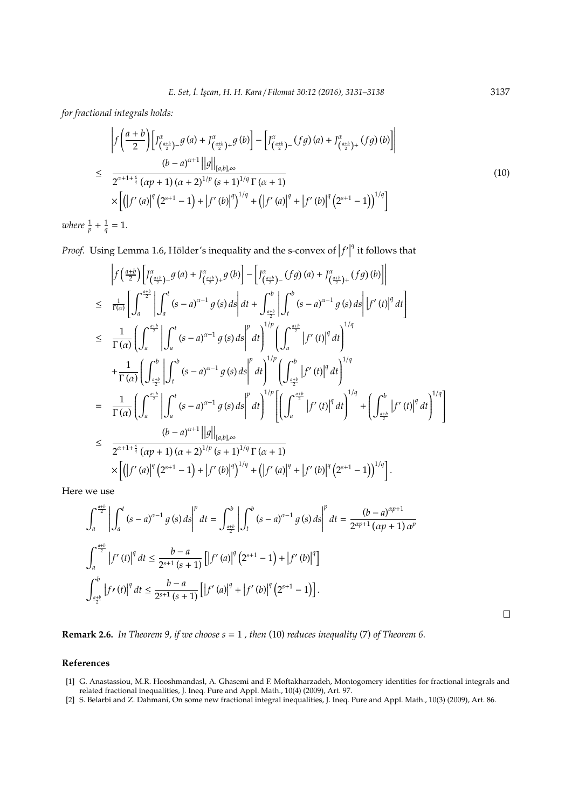*for fractional integrals holds:*

$$
\left| f\left(\frac{a+b}{2}\right) \left[ J^{\alpha}_{\left(\frac{a+b}{2}\right)-} g\left(a\right) + J^{\alpha}_{\left(\frac{a+b}{2}\right)+} g\left(b\right) \right] - \left[ J^{\alpha}_{\left(\frac{a+b}{2}\right)-} \left( fg\right) \left(a\right) + J^{\alpha}_{\left(\frac{a+b}{2}\right)+} \left( fg\right) \left(b\right) \right] \right|
$$
\n
$$
\leq \frac{(b-a)^{\alpha+1} ||g||_{[a,b],\infty}}{2^{\alpha+1+\frac{s}{q}} (\alpha p+1) (\alpha+2)^{1/p} (s+1)^{1/q} \Gamma(\alpha+1)} \times \left[ \left( \left| f'(a) \right|^{q} \left( 2^{s+1}-1 \right) + \left| f'(b) \right|^{q} \right)^{1/q} + \left( \left| f'(a) \right|^{q} + \left| f'(b) \right|^{q} \left( 2^{s+1}-1 \right) \right)^{1/q} \right]
$$
\n
$$
+ \frac{1}{q} = 1.
$$
\n(10)

where  $\frac{1}{p}$ +  $\frac{1}{q}$  $= 1.$ 

*Proof.* Using Lemma 1.6, Hölder's inequality and the s-convex of  $|f'|$ <sup>*q*</sup> it follows that

$$
\int f\left(\frac{a+b}{2}\right) \left[ J_{\left(\frac{a+b}{2}\right)}^{\alpha} - g\left(a\right) + J_{\left(\frac{a+b}{2}\right)+}^{\alpha} g\left(b\right) \right] - \left[ J_{\left(\frac{a+b}{2}\right)-}^{\alpha} (fg)\left(a\right) + J_{\left(\frac{a+b}{2}\right)+}^{\alpha} (fg)\left(b\right) \right] \right]
$$
\n
$$
\leq \frac{1}{\Gamma(\alpha)} \left[ \int_{a}^{a} \left| \int_{a}^{t} (s-a)^{\alpha-1} g\left(s\right) ds \right| dt + \int_{\frac{a+b}{2}}^{b} \left| \int_{t}^{b} (s-a)^{\alpha-1} g\left(s\right) ds \right| |f'\left(t\right)|^{q} dt \right]
$$
\n
$$
\leq \frac{1}{\Gamma(\alpha)} \left( \int_{a}^{a} \left| \int_{a}^{t} (s-a)^{\alpha-1} g\left(s\right) ds \right|^{p} dt \right)^{1/p} \left( \int_{a}^{a+b} |f'\left(t\right)|^{q} dt \right)^{1/q}
$$
\n
$$
+ \frac{1}{\Gamma(\alpha)} \left( \int_{\frac{a+b}{2}}^{b} \left| \int_{t}^{b} (s-a)^{\alpha-1} g\left(s\right) ds \right|^{p} dt \right)^{1/p} \left( \int_{\frac{a+b}{2}}^{b} |f'\left(t\right)|^{q} dt \right)^{1/q}
$$
\n
$$
= \frac{1}{\Gamma(\alpha)} \left( \int_{a}^{a+b} \left| \int_{a}^{t} (s-a)^{\alpha-1} g\left(s\right) ds \right|^{p} dt \right)^{1/p} \left[ \left( \int_{a}^{a+b} |f'\left(t\right)|^{q} dt \right)^{1/q} + \left( \int_{\frac{a+b}{2}}^{b} |f'\left(t\right)|^{q} dt \right)^{1/q} \right]
$$
\n
$$
\leq \frac{(b-a)^{\alpha+1} ||g||_{[a,b],\infty}}{2^{\alpha+1+\frac{a}{q}} (\alpha p+1) (\alpha+2)^{1/p} (\alpha+1)^{1/q} \Gamma(\alpha+1)} \times \left[ \left( |f'\left(a\right)|^{q} (2^{s+1}-1) + |f'\left(b\right)|^{q} \right)^{1/q} + \
$$

Here we use

$$
\int_{a}^{\frac{a+b}{2}} \left| \int_{a}^{t} (s-a)^{\alpha-1} g(s) ds \right|^{p} dt = \int_{\frac{a+b}{2}}^{b} \left| \int_{t}^{b} (s-a)^{\alpha-1} g(s) ds \right|^{p} dt = \frac{(b-a)^{\alpha p+1}}{2^{\alpha p+1} (\alpha p+1) \alpha^{p}}
$$

$$
\int_{a}^{\frac{a+b}{2}} \left| f'(t) \right|^{q} dt \le \frac{b-a}{2^{s+1} (s+1)} \left[ \left| f'(a) \right|^{q} \left( 2^{s+1} - 1 \right) + \left| f'(b) \right|^{q} \right]
$$

$$
\int_{\frac{a+b}{2}}^{b} \left| f'(t) \right|^{q} dt \le \frac{b-a}{2^{s+1} (s+1)} \left[ \left| f'(a) \right|^{q} + \left| f'(b) \right|^{q} \left( 2^{s+1} - 1 \right) \right].
$$

**Remark 2.6.** *In Theorem 9, if we choose s* = 1 *, then* (10) *reduces inequality* (7) *of Theorem 6.*

## **References**

- [1] G. Anastassiou, M.R. Hooshmandasl, A. Ghasemi and F. Moftakharzadeh, Montogomery identities for fractional integrals and related fractional inequalities, J. Ineq. Pure and Appl. Math., 10(4) (2009), Art. 97.
- [2] S. Belarbi and Z. Dahmani, On some new fractional integral inequalities, J. Ineq. Pure and Appl. Math., 10(3) (2009), Art. 86.

 $\Box$